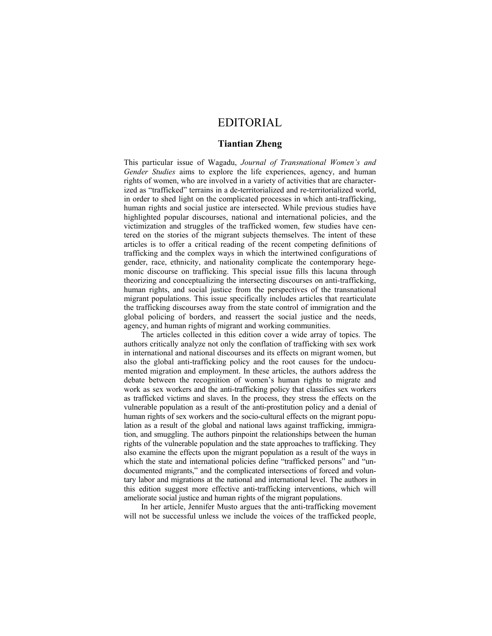## EDITORIAL

## **Tiantian Zheng**

This particular issue of Wagadu, *Journal of Transnational Women's and Gender Studies* aims to explore the life experiences, agency, and human rights of women, who are involved in a variety of activities that are characterized as "trafficked" terrains in a de-territorialized and re-territorialized world, in order to shed light on the complicated processes in which anti-trafficking, human rights and social justice are intersected. While previous studies have highlighted popular discourses, national and international policies, and the victimization and struggles of the trafficked women, few studies have centered on the stories of the migrant subjects themselves. The intent of these articles is to offer a critical reading of the recent competing definitions of trafficking and the complex ways in which the intertwined configurations of gender, race, ethnicity, and nationality complicate the contemporary hegemonic discourse on trafficking. This special issue fills this lacuna through theorizing and conceptualizing the intersecting discourses on anti-trafficking, human rights, and social justice from the perspectives of the transnational migrant populations. This issue specifically includes articles that rearticulate the trafficking discourses away from the state control of immigration and the global policing of borders, and reassert the social justice and the needs, agency, and human rights of migrant and working communities.

The articles collected in this edition cover a wide array of topics. The authors critically analyze not only the conflation of trafficking with sex work in international and national discourses and its effects on migrant women, but also the global anti-trafficking policy and the root causes for the undocumented migration and employment. In these articles, the authors address the debate between the recognition of women's human rights to migrate and work as sex workers and the anti-trafficking policy that classifies sex workers as trafficked victims and slaves. In the process, they stress the effects on the vulnerable population as a result of the anti-prostitution policy and a denial of human rights of sex workers and the socio-cultural effects on the migrant population as a result of the global and national laws against trafficking, immigration, and smuggling. The authors pinpoint the relationships between the human rights of the vulnerable population and the state approaches to trafficking. They also examine the effects upon the migrant population as a result of the ways in which the state and international policies define "trafficked persons" and "undocumented migrants," and the complicated intersections of forced and voluntary labor and migrations at the national and international level. The authors in this edition suggest more effective anti-trafficking interventions, which will ameliorate social justice and human rights of the migrant populations.

In her article, Jennifer Musto argues that the anti-trafficking movement will not be successful unless we include the voices of the trafficked people,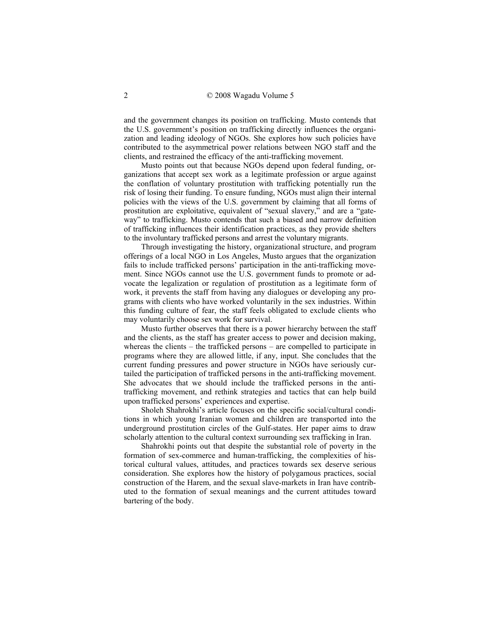and the government changes its position on trafficking. Musto contends that the U.S. government's position on trafficking directly influences the organization and leading ideology of NGOs. She explores how such policies have contributed to the asymmetrical power relations between NGO staff and the clients, and restrained the efficacy of the anti-trafficking movement.

Musto points out that because NGOs depend upon federal funding, organizations that accept sex work as a legitimate profession or argue against the conflation of voluntary prostitution with trafficking potentially run the risk of losing their funding. To ensure funding, NGOs must align their internal policies with the views of the U.S. government by claiming that all forms of prostitution are exploitative, equivalent of "sexual slavery," and are a "gateway" to trafficking. Musto contends that such a biased and narrow definition of trafficking influences their identification practices, as they provide shelters to the involuntary trafficked persons and arrest the voluntary migrants.

Through investigating the history, organizational structure, and program offerings of a local NGO in Los Angeles, Musto argues that the organization fails to include trafficked persons' participation in the anti-trafficking movement. Since NGOs cannot use the U.S. government funds to promote or advocate the legalization or regulation of prostitution as a legitimate form of work, it prevents the staff from having any dialogues or developing any programs with clients who have worked voluntarily in the sex industries. Within this funding culture of fear, the staff feels obligated to exclude clients who may voluntarily choose sex work for survival.

Musto further observes that there is a power hierarchy between the staff and the clients, as the staff has greater access to power and decision making, whereas the clients – the trafficked persons – are compelled to participate in programs where they are allowed little, if any, input. She concludes that the current funding pressures and power structure in NGOs have seriously curtailed the participation of trafficked persons in the anti-trafficking movement. She advocates that we should include the trafficked persons in the antitrafficking movement, and rethink strategies and tactics that can help build upon trafficked persons' experiences and expertise.

Sholeh Shahrokhi's article focuses on the specific social/cultural conditions in which young Iranian women and children are transported into the underground prostitution circles of the Gulf-states. Her paper aims to draw scholarly attention to the cultural context surrounding sex trafficking in Iran.

Shahrokhi points out that despite the substantial role of poverty in the formation of sex-commerce and human-trafficking, the complexities of historical cultural values, attitudes, and practices towards sex deserve serious consideration. She explores how the history of polygamous practices, social construction of the Harem, and the sexual slave-markets in Iran have contributed to the formation of sexual meanings and the current attitudes toward bartering of the body.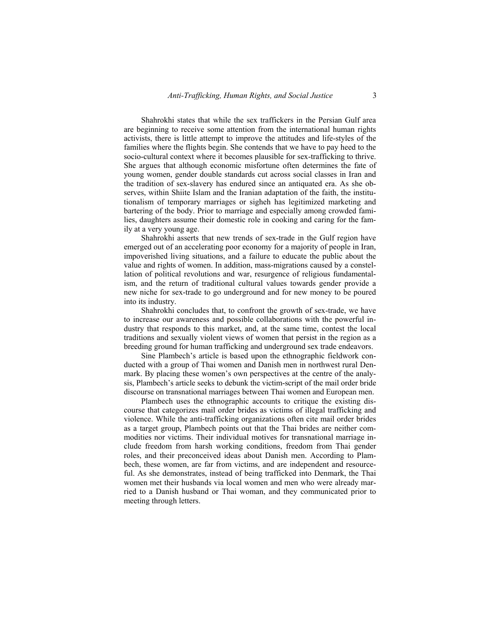Shahrokhi states that while the sex traffickers in the Persian Gulf area are beginning to receive some attention from the international human rights activists, there is little attempt to improve the attitudes and life-styles of the families where the flights begin. She contends that we have to pay heed to the socio-cultural context where it becomes plausible for sex-trafficking to thrive. She argues that although economic misfortune often determines the fate of young women, gender double standards cut across social classes in Iran and the tradition of sex-slavery has endured since an antiquated era. As she observes, within Shiite Islam and the Iranian adaptation of the faith, the institutionalism of temporary marriages or sigheh has legitimized marketing and bartering of the body. Prior to marriage and especially among crowded families, daughters assume their domestic role in cooking and caring for the family at a very young age.

Shahrokhi asserts that new trends of sex-trade in the Gulf region have emerged out of an accelerating poor economy for a majority of people in Iran, impoverished living situations, and a failure to educate the public about the value and rights of women. In addition, mass-migrations caused by a constellation of political revolutions and war, resurgence of religious fundamentalism, and the return of traditional cultural values towards gender provide a new niche for sex-trade to go underground and for new money to be poured into its industry.

Shahrokhi concludes that, to confront the growth of sex-trade, we have to increase our awareness and possible collaborations with the powerful industry that responds to this market, and, at the same time, contest the local traditions and sexually violent views of women that persist in the region as a breeding ground for human trafficking and underground sex trade endeavors.

Sine Plambech's article is based upon the ethnographic fieldwork conducted with a group of Thai women and Danish men in northwest rural Denmark. By placing these women's own perspectives at the centre of the analysis, Plambech's article seeks to debunk the victim-script of the mail order bride discourse on transnational marriages between Thai women and European men.

Plambech uses the ethnographic accounts to critique the existing discourse that categorizes mail order brides as victims of illegal trafficking and violence. While the anti-trafficking organizations often cite mail order brides as a target group, Plambech points out that the Thai brides are neither commodities nor victims. Their individual motives for transnational marriage include freedom from harsh working conditions, freedom from Thai gender roles, and their preconceived ideas about Danish men. According to Plambech, these women, are far from victims, and are independent and resourceful. As she demonstrates, instead of being trafficked into Denmark, the Thai women met their husbands via local women and men who were already married to a Danish husband or Thai woman, and they communicated prior to meeting through letters.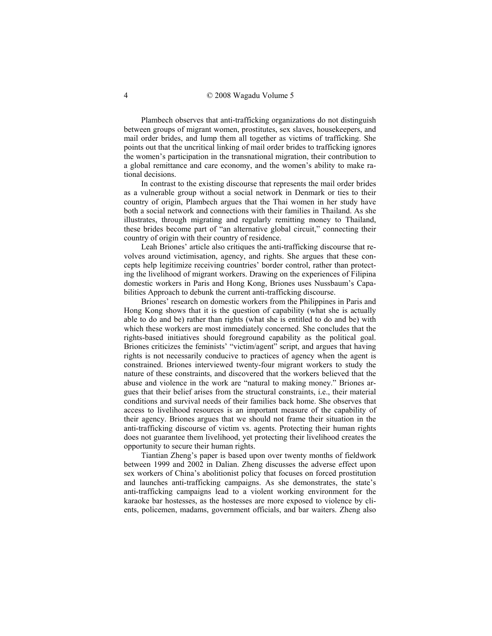Plambech observes that anti-trafficking organizations do not distinguish between groups of migrant women, prostitutes, sex slaves, housekeepers, and mail order brides, and lump them all together as victims of trafficking. She points out that the uncritical linking of mail order brides to trafficking ignores the women's participation in the transnational migration, their contribution to a global remittance and care economy, and the women's ability to make rational decisions.

In contrast to the existing discourse that represents the mail order brides as a vulnerable group without a social network in Denmark or ties to their country of origin, Plambech argues that the Thai women in her study have both a social network and connections with their families in Thailand. As she illustrates, through migrating and regularly remitting money to Thailand, these brides become part of "an alternative global circuit," connecting their country of origin with their country of residence.

Leah Briones' article also critiques the anti-trafficking discourse that revolves around victimisation, agency, and rights. She argues that these concepts help legitimize receiving countries' border control, rather than protecting the livelihood of migrant workers. Drawing on the experiences of Filipina domestic workers in Paris and Hong Kong, Briones uses Nussbaum's Capabilities Approach to debunk the current anti-trafficking discourse.

Briones' research on domestic workers from the Philippines in Paris and Hong Kong shows that it is the question of capability (what she is actually able to do and be) rather than rights (what she is entitled to do and be) with which these workers are most immediately concerned. She concludes that the rights-based initiatives should foreground capability as the political goal. Briones criticizes the feminists' "victim/agent" script, and argues that having rights is not necessarily conducive to practices of agency when the agent is constrained. Briones interviewed twenty-four migrant workers to study the nature of these constraints, and discovered that the workers believed that the abuse and violence in the work are "natural to making money." Briones argues that their belief arises from the structural constraints, i.e., their material conditions and survival needs of their families back home. She observes that access to livelihood resources is an important measure of the capability of their agency. Briones argues that we should not frame their situation in the anti-trafficking discourse of victim vs. agents. Protecting their human rights does not guarantee them livelihood, yet protecting their livelihood creates the opportunity to secure their human rights.

Tiantian Zheng's paper is based upon over twenty months of fieldwork between 1999 and 2002 in Dalian. Zheng discusses the adverse effect upon sex workers of China's abolitionist policy that focuses on forced prostitution and launches anti-trafficking campaigns. As she demonstrates, the state's anti-trafficking campaigns lead to a violent working environment for the karaoke bar hostesses, as the hostesses are more exposed to violence by clients, policemen, madams, government officials, and bar waiters. Zheng also